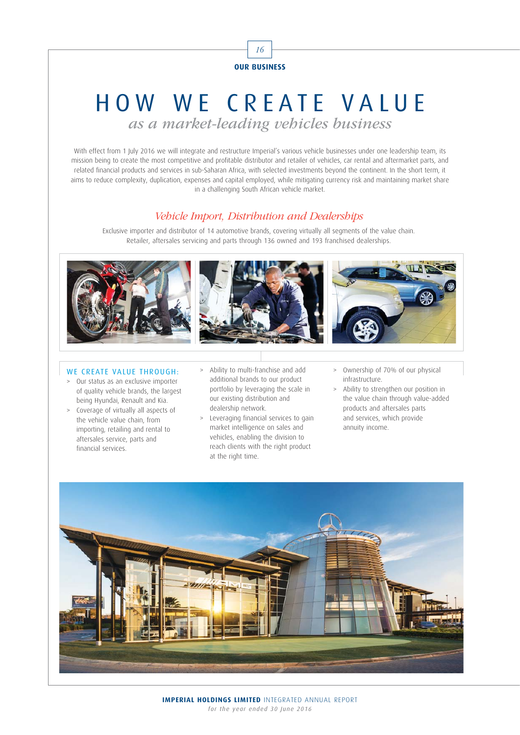

# HOW WE CREATE VALUE

as a market-leading vehicles business

With effect from 1 July 2016 we will integrate and restructure Imperial's various vehicle businesses under one leadership team, its mission being to create the most competitive and profitable distributor and retailer of vehicles, car rental and aftermarket parts, and related financial products and services in sub-Saharan Africa, with selected investments beyond the continent. In the short term, it aims to reduce complexity, duplication, expenses and capital employed, while mitigating currency risk and maintaining market share in a challenging South African vehicle market.

## Vehicle Import, Distribution and Dealerships

Exclusive importer and distributor of 14 automotive brands, covering virtually all segments of the value chain. Retailer, aftersales servicing and parts through 136 owned and 193 franchised dealerships.



#### WE CREATE VALUE THROUGH:

- > Our status as an exclusive importer of quality vehicle brands, the largest being Hyundai, Renault and Kia.
- > Coverage of virtually all aspects of the vehicle value chain, from importing, retailing and rental to aftersales service, parts and financial services.
- > Ability to multi-franchise and add additional brands to our product portfolio by leveraging the scale in our existing distribution and dealership network.
- > Leveraging financial services to gain market intelligence on sales and vehicles, enabling the division to reach clients with the right product at the right time.
- > Ownership of 70% of our physical infrastructure.
- > Ability to strengthen our position in the value chain through value-added products and aftersales parts and services, which provide annuity income.